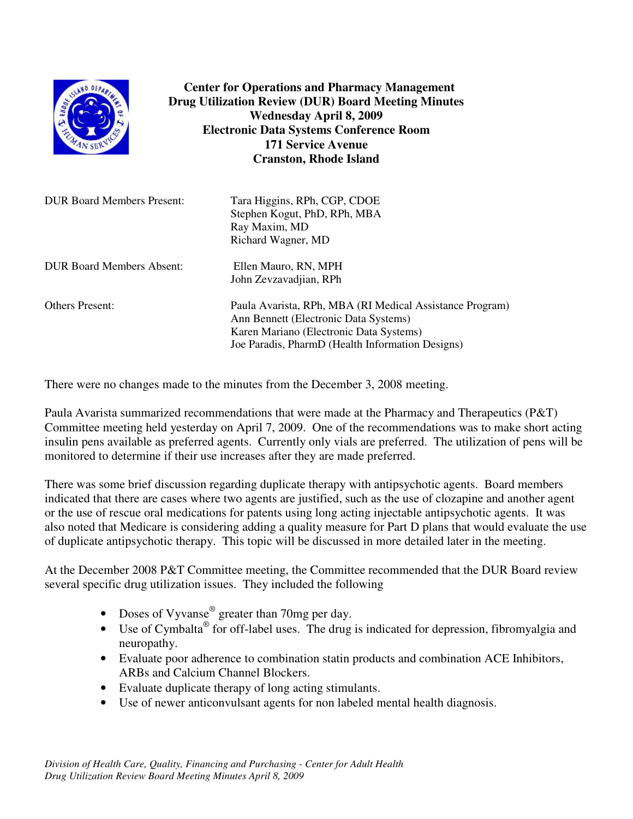

**Center for Operations and Pharmacy Management Drug Utilization Review (DUR) Board Meeting Minutes Wednesday April 8, 2009 Electronic Data Systems Conference Room 171 Service Avenue Cranston, Rhode Island**

| <b>DUR Board Members Present:</b> | Tara Higgins, RPh, CGP, CDOE<br>Stephen Kogut, PhD, RPh, MBA<br>Ray Maxim, MD<br>Richard Wagner, MD                                                                                              |
|-----------------------------------|--------------------------------------------------------------------------------------------------------------------------------------------------------------------------------------------------|
| <b>DUR Board Members Absent:</b>  | Ellen Mauro, RN, MPH<br>John Zevzavadjian, RPh                                                                                                                                                   |
| <b>Others Present:</b>            | Paula Avarista, RPh, MBA (RI Medical Assistance Program)<br>Ann Bennett (Electronic Data Systems)<br>Karen Mariano (Electronic Data Systems)<br>Joe Paradis, PharmD (Health Information Designs) |

There were no changes made to the minutes from the December 3, 2008 meeting.

Paula Avarista summarized recommendations that were made at the Pharmacy and Therapeutics (P&T) Committee meeting held yesterday on April 7, 2009. One of the recommendations was to make short acting insulin pens available as preferred agents. Currently only vials are preferred. The utilization of pens will be monitored to determine if their use increases after they are made preferred.

There was some brief discussion regarding duplicate therapy with antipsychotic agents. Board members indicated that there are cases where two agents are justified, such as the use of clozapine and another agent or the use of rescue oral medications for patents using long acting injectable antipsychotic agents. It was also noted that Medicare is considering adding a quality measure for Part D plans that would evaluate the use of duplicate antipsychotic therapy. This topic will be discussed in more detailed later in the meeting.

At the December 2008 P&T Committee meeting, the Committee recommended that the DUR Board review several specific drug utilization issues. They included the following

- Doses of Vyvanse<sup>®</sup> greater than 70mg per day.
- Use of Cymbalta<sup>®</sup> for off-label uses. The drug is indicated for depression, fibromyalgia and neuropathy.
- Evaluate poor adherence to combination statin products and combination ACE Inhibitors, ARBs and Calcium Channel Blockers.
- Evaluate duplicate therapy of long acting stimulants.
- Use of newer anticonvulsant agents for non labeled mental health diagnosis.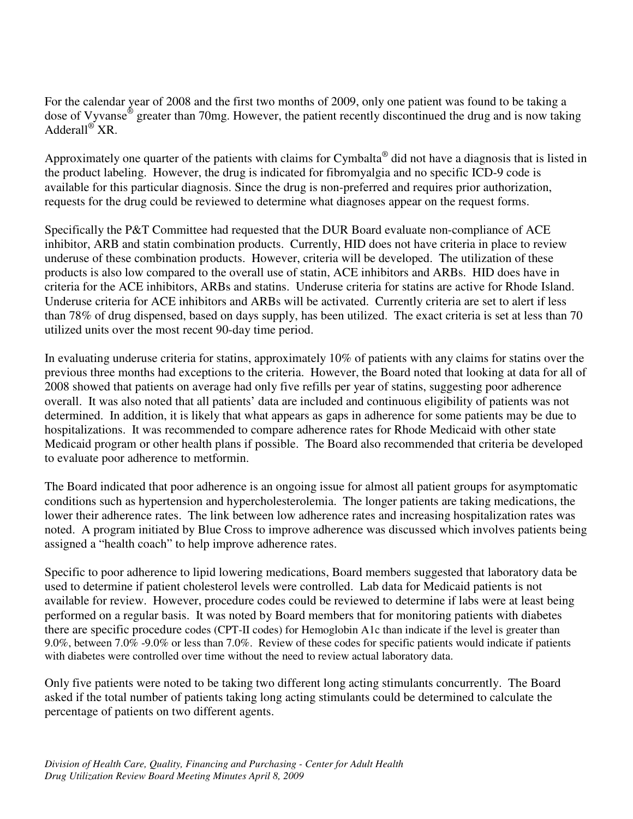For the calendar year of 2008 and the first two months of 2009, only one patient was found to be taking a dose of Vyvanse<sup>®</sup> greater than 70mg. However, the patient recently discontinued the drug and is now taking Adderall ® XR.

Approximately one quarter of the patients with claims for Cymbalta® did not have a diagnosis that is listed in the product labeling. However, the drug is indicated for fibromyalgia and no specific ICD-9 code is available for this particular diagnosis. Since the drug is non-preferred and requires prior authorization, requests for the drug could be reviewed to determine what diagnoses appear on the request forms.

Specifically the P&T Committee had requested that the DUR Board evaluate non-compliance of ACE inhibitor, ARB and statin combination products. Currently, HID does not have criteria in place to review underuse of these combination products. However, criteria will be developed. The utilization of these products is also low compared to the overall use of statin, ACE inhibitors and ARBs. HID does have in criteria for the ACE inhibitors, ARBs and statins. Underuse criteria for statins are active for Rhode Island. Underuse criteria for ACE inhibitors and ARBs will be activated. Currently criteria are set to alert if less than 78% of drug dispensed, based on days supply, has been utilized. The exact criteria is set at less than 70 utilized units over the most recent 90-day time period.

In evaluating underuse criteria for statins, approximately 10% of patients with any claims for statins over the previous three months had exceptions to the criteria. However, the Board noted that looking at data for all of 2008 showed that patients on average had only five refills per year of statins, suggesting poor adherence overall. It was also noted that all patients' data are included and continuous eligibility of patients was not determined. In addition, it is likely that what appears as gaps in adherence for some patients may be due to hospitalizations. It was recommended to compare adherence rates for Rhode Medicaid with other state Medicaid program or other health plans if possible. The Board also recommended that criteria be developed to evaluate poor adherence to metformin.

The Board indicated that poor adherence is an ongoing issue for almost all patient groups for asymptomatic conditions such as hypertension and hypercholesterolemia. The longer patients are taking medications, the lower their adherence rates. The link between low adherence rates and increasing hospitalization rates was noted. A program initiated by Blue Cross to improve adherence was discussed which involves patients being assigned a "health coach" to help improve adherence rates.

Specific to poor adherence to lipid lowering medications, Board members suggested that laboratory data be used to determine if patient cholesterol levels were controlled. Lab data for Medicaid patients is not available for review. However, procedure codes could be reviewed to determine if labs were at least being performed on a regular basis. It was noted by Board members that for monitoring patients with diabetes there are specific procedure codes (CPT-II codes) for Hemoglobin A1c than indicate if the level is greater than 9.0%, between 7.0% -9.0% or less than 7.0%. Review of these codes for specific patients would indicate if patients with diabetes were controlled over time without the need to review actual laboratory data.

Only five patients were noted to be taking two different long acting stimulants concurrently. The Board asked if the total number of patients taking long acting stimulants could be determined to calculate the percentage of patients on two different agents.